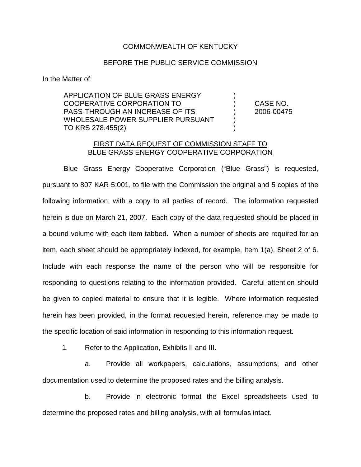## COMMONWEALTH OF KENTUCKY

## BEFORE THE PUBLIC SERVICE COMMISSION

In the Matter of:

APPLICATION OF BLUE GRASS ENERGY ) COOPERATIVE CORPORATION TO ) CASE NO. PASS-THROUGH AN INCREASE OF ITS ) 2006-00475 WHOLESALE POWER SUPPLIER PURSUANT ) TO KRS 278.455(2)

## FIRST DATA REQUEST OF COMMISSION STAFF TO BLUE GRASS ENERGY COOPERATIVE CORPORATION

Blue Grass Energy Cooperative Corporation ("Blue Grass") is requested, pursuant to 807 KAR 5:001, to file with the Commission the original and 5 copies of the following information, with a copy to all parties of record. The information requested herein is due on March 21, 2007. Each copy of the data requested should be placed in a bound volume with each item tabbed. When a number of sheets are required for an item, each sheet should be appropriately indexed, for example, Item 1(a), Sheet 2 of 6. Include with each response the name of the person who will be responsible for responding to questions relating to the information provided. Careful attention should be given to copied material to ensure that it is legible. Where information requested herein has been provided, in the format requested herein, reference may be made to the specific location of said information in responding to this information request.

1. Refer to the Application, Exhibits II and III.

a. Provide all workpapers, calculations, assumptions, and other documentation used to determine the proposed rates and the billing analysis.

b. Provide in electronic format the Excel spreadsheets used to determine the proposed rates and billing analysis, with all formulas intact.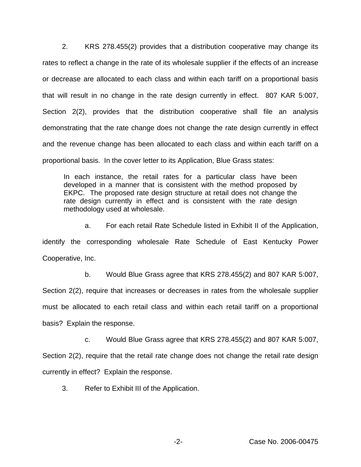2. KRS 278.455(2) provides that a distribution cooperative may change its rates to reflect a change in the rate of its wholesale supplier if the effects of an increase or decrease are allocated to each class and within each tariff on a proportional basis that will result in no change in the rate design currently in effect. 807 KAR 5:007, Section 2(2), provides that the distribution cooperative shall file an analysis demonstrating that the rate change does not change the rate design currently in effect and the revenue change has been allocated to each class and within each tariff on a proportional basis. In the cover letter to its Application, Blue Grass states:

In each instance, the retail rates for a particular class have been developed in a manner that is consistent with the method proposed by EKPC. The proposed rate design structure at retail does not change the rate design currently in effect and is consistent with the rate design methodology used at wholesale.

a. For each retail Rate Schedule listed in Exhibit II of the Application, identify the corresponding wholesale Rate Schedule of East Kentucky Power Cooperative, Inc.

b. Would Blue Grass agree that KRS 278.455(2) and 807 KAR 5:007,

Section 2(2), require that increases or decreases in rates from the wholesale supplier must be allocated to each retail class and within each retail tariff on a proportional basis? Explain the response.

c. Would Blue Grass agree that KRS 278.455(2) and 807 KAR 5:007,

Section 2(2), require that the retail rate change does not change the retail rate design currently in effect? Explain the response.

3. Refer to Exhibit III of the Application.